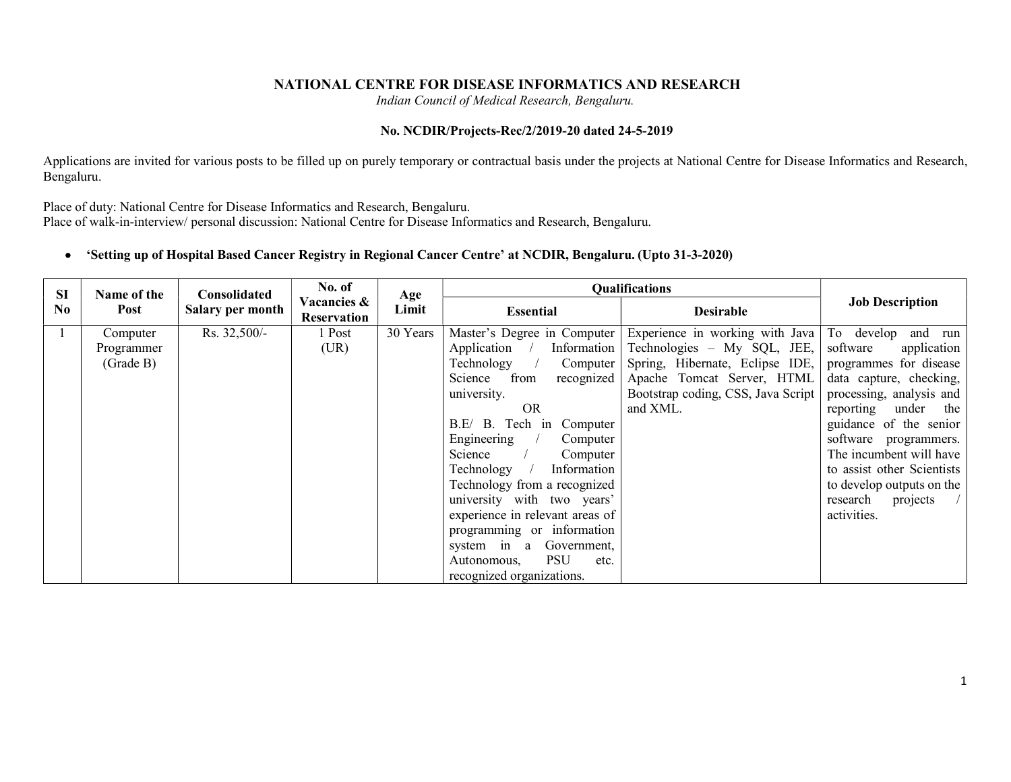### NATIONAL CENTRE FOR DISEASE INFORMATICS AND RESEARCH

Indian Council of Medical Research, Bengaluru.

### No. NCDIR/Projects-Rec/2/2019-20 dated 24-5-2019

Applications are invited for various posts to be filled up on purely temporary or contractual basis under the projects at National Centre for Disease Informatics and Research, Bengaluru.

Place of duty: National Centre for Disease Informatics and Research, Bengaluru.

Place of walk-in-interview/ personal discussion: National Centre for Disease Informatics and Research, Bengaluru.

### 'Setting up of Hospital Based Cancer Registry in Regional Cancer Centre' at NCDIR, Bengaluru. (Upto 31-3-2020)

| <b>SI</b>      | Name of the | <b>Consolidated</b> | No. of                                | Age      |                                   | <b>Qualifications</b>                                       |                            |
|----------------|-------------|---------------------|---------------------------------------|----------|-----------------------------------|-------------------------------------------------------------|----------------------------|
| N <sub>0</sub> | Post        | Salary per month    | <b>Vacancies &amp;</b><br>Reservation | Limit    | <b>Essential</b>                  | <b>Desirable</b>                                            | <b>Job Description</b>     |
|                | Computer    | Rs. 32,500/-        | 1 Post                                | 30 Years |                                   | Master's Degree in Computer Experience in working with Java | To develop and run         |
|                | Programmer  |                     | (UR)                                  |          | Application<br>Information        | Technologies – My SQL, JEE,                                 | software<br>application    |
|                | (Grade B)   |                     |                                       |          | Technology<br>Computer            | Spring, Hibernate, Eclipse IDE,                             | programmes for disease     |
|                |             |                     |                                       |          | Science<br>from<br>recognized     | Apache Tomcat Server, HTML                                  | data capture, checking,    |
|                |             |                     |                                       |          | university.                       | Bootstrap coding, CSS, Java Script                          | processing, analysis and   |
|                |             |                     |                                       |          | <b>OR</b>                         | and XML.                                                    | reporting<br>under the     |
|                |             |                     |                                       |          | B.E/ B. Tech in Computer          |                                                             | guidance of the senior     |
|                |             |                     |                                       |          | Engineering<br>Computer           |                                                             | software programmers.      |
|                |             |                     |                                       |          | Science<br>Computer               |                                                             | The incumbent will have    |
|                |             |                     |                                       |          | Technology<br>Information         |                                                             | to assist other Scientists |
|                |             |                     |                                       |          | Technology from a recognized      |                                                             | to develop outputs on the  |
|                |             |                     |                                       |          | university with two years'        |                                                             | research<br>projects       |
|                |             |                     |                                       |          | experience in relevant areas of   |                                                             | activities.                |
|                |             |                     |                                       |          | programming or information        |                                                             |                            |
|                |             |                     |                                       |          | Government,<br>system in a        |                                                             |                            |
|                |             |                     |                                       |          | <b>PSU</b><br>Autonomous,<br>etc. |                                                             |                            |
|                |             |                     |                                       |          | recognized organizations.         |                                                             |                            |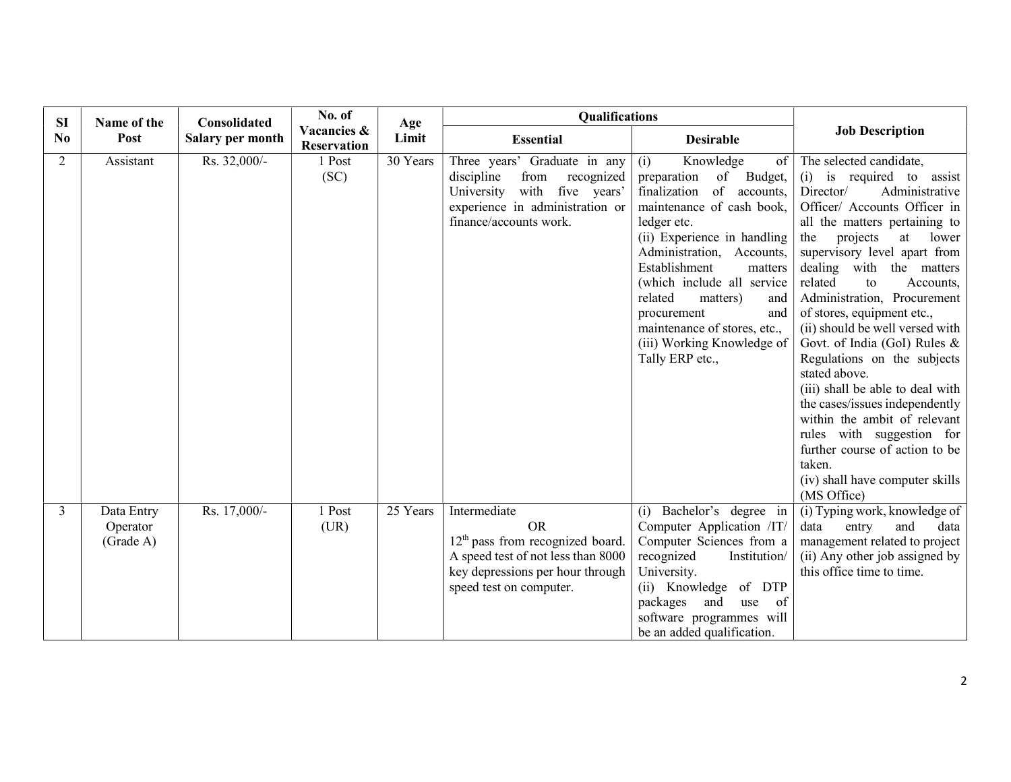| <b>SI</b> | Name of the                         | <b>Consolidated</b> | No. of                            | Age      | <b>Qualifications</b>                                                                                                                                                |                                                                                                                                                                                                                                                                                                                                                                                               |                                                                                                                                                                                                                                                                                                                                                                                                                                                                                                                                                                                                                                                                                                   |
|-----------|-------------------------------------|---------------------|-----------------------------------|----------|----------------------------------------------------------------------------------------------------------------------------------------------------------------------|-----------------------------------------------------------------------------------------------------------------------------------------------------------------------------------------------------------------------------------------------------------------------------------------------------------------------------------------------------------------------------------------------|---------------------------------------------------------------------------------------------------------------------------------------------------------------------------------------------------------------------------------------------------------------------------------------------------------------------------------------------------------------------------------------------------------------------------------------------------------------------------------------------------------------------------------------------------------------------------------------------------------------------------------------------------------------------------------------------------|
| No        | Post                                | Salary per month    | Vacancies &<br><b>Reservation</b> | Limit    | <b>Essential</b>                                                                                                                                                     | <b>Desirable</b>                                                                                                                                                                                                                                                                                                                                                                              | <b>Job Description</b>                                                                                                                                                                                                                                                                                                                                                                                                                                                                                                                                                                                                                                                                            |
| 2         | Assistant                           | Rs. 32,000/-        | 1 Post<br>(SC)                    | 30 Years | Three years' Graduate in any<br>from<br>discipline<br>recognized<br>with five years'<br>University<br>experience in administration or<br>finance/accounts work.      | (i)<br>Knowledge<br>of<br>of<br>Budget,<br>preparation<br>of accounts,<br>finalization<br>maintenance of cash book,<br>ledger etc.<br>(ii) Experience in handling<br>Administration, Accounts,<br>Establishment<br>matters<br>(which include all service<br>related<br>matters)<br>and<br>procurement<br>and<br>maintenance of stores, etc.,<br>(iii) Working Knowledge of<br>Tally ERP etc., | The selected candidate,<br>(i) is required to assist<br>Director/<br>Administrative<br>Officer/ Accounts Officer in<br>all the matters pertaining to<br>projects<br>lower<br>the<br>at<br>supervisory level apart from<br>dealing with the matters<br>related<br>Accounts,<br>to<br>Administration, Procurement<br>of stores, equipment etc.,<br>(ii) should be well versed with<br>Govt. of India (GoI) Rules &<br>Regulations on the subjects<br>stated above.<br>(iii) shall be able to deal with<br>the cases/issues independently<br>within the ambit of relevant<br>rules with suggestion for<br>further course of action to be<br>taken.<br>(iv) shall have computer skills<br>(MS Office) |
| 3         | Data Entry<br>Operator<br>(Grade A) | Rs. 17,000/-        | 1 Post<br>(UR)                    | 25 Years | Intermediate<br><b>OR</b><br>$12th$ pass from recognized board.<br>A speed test of not less than 8000<br>key depressions per hour through<br>speed test on computer. | Bachelor's degree in<br>(i)<br>Computer Application /IT/<br>Computer Sciences from a<br>recognized<br>Institution/<br>University.<br>(ii) Knowledge of DTP<br>packages<br>of<br>and<br>use<br>software programmes will<br>be an added qualification.                                                                                                                                          | (i) Typing work, knowledge of<br>data<br>and<br>entry<br>data<br>management related to project<br>(ii) Any other job assigned by<br>this office time to time.                                                                                                                                                                                                                                                                                                                                                                                                                                                                                                                                     |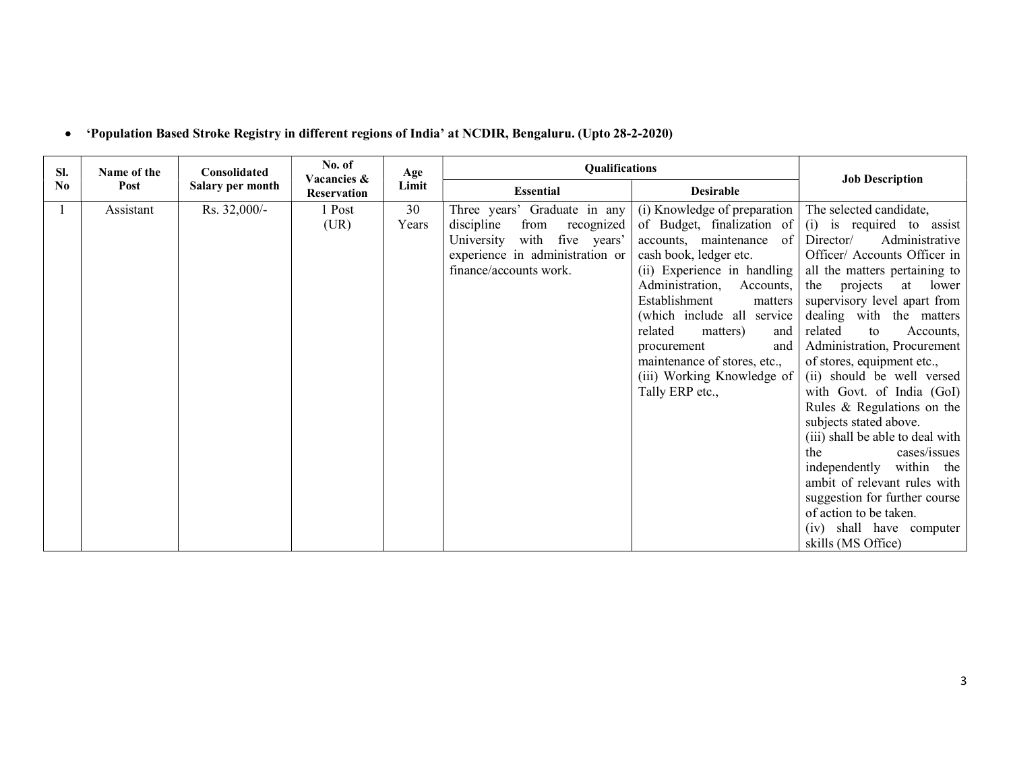| SI.      | Name of the | Consolidated     | No. of<br>Vacancies & | Age   | Qualifications                   |                               | <b>Job Description</b>           |
|----------|-------------|------------------|-----------------------|-------|----------------------------------|-------------------------------|----------------------------------|
| $\bf No$ | Post        | Salary per month | <b>Reservation</b>    | Limit | <b>Essential</b>                 | <b>Desirable</b>              |                                  |
|          | Assistant   | Rs. 32,000/-     | 1 Post                | 30    | Three years' Graduate in any     | (i) Knowledge of preparation  | The selected candidate,          |
|          |             |                  | (UR)                  | Years | discipline<br>recognized<br>from | of Budget, finalization of    | (i) is required to assist        |
|          |             |                  |                       |       | with five years'<br>University   | of  <br>accounts, maintenance | Director/<br>Administrative      |
|          |             |                  |                       |       | experience in administration or  | cash book, ledger etc.        | Officer/ Accounts Officer in     |
|          |             |                  |                       |       | finance/accounts work.           | (ii) Experience in handling   | all the matters pertaining to    |
|          |             |                  |                       |       |                                  | Administration,<br>Accounts,  | projects<br>lower<br>the<br>at   |
|          |             |                  |                       |       |                                  | Establishment<br>matters      | supervisory level apart from     |
|          |             |                  |                       |       |                                  | (which include all service    | dealing with the matters         |
|          |             |                  |                       |       |                                  | related<br>and<br>matters)    | related<br>to<br>Accounts,       |
|          |             |                  |                       |       |                                  | and<br>procurement            | Administration, Procurement      |
|          |             |                  |                       |       |                                  | maintenance of stores, etc.,  | of stores, equipment etc.,       |
|          |             |                  |                       |       |                                  | (iii) Working Knowledge of    | (ii) should be well versed       |
|          |             |                  |                       |       |                                  | Tally ERP etc.,               | with Govt. of India (GoI)        |
|          |             |                  |                       |       |                                  |                               | Rules & Regulations on the       |
|          |             |                  |                       |       |                                  |                               | subjects stated above.           |
|          |             |                  |                       |       |                                  |                               | (iii) shall be able to deal with |
|          |             |                  |                       |       |                                  |                               | cases/issues<br>the              |
|          |             |                  |                       |       |                                  |                               | independently within the         |
|          |             |                  |                       |       |                                  |                               | ambit of relevant rules with     |
|          |             |                  |                       |       |                                  |                               | suggestion for further course    |
|          |             |                  |                       |       |                                  |                               | of action to be taken.           |
|          |             |                  |                       |       |                                  |                               | (iv) shall have computer         |
|          |             |                  |                       |       |                                  |                               | skills (MS Office)               |

# 'Population Based Stroke Registry in different regions of India' at NCDIR, Bengaluru. (Upto 28-2-2020)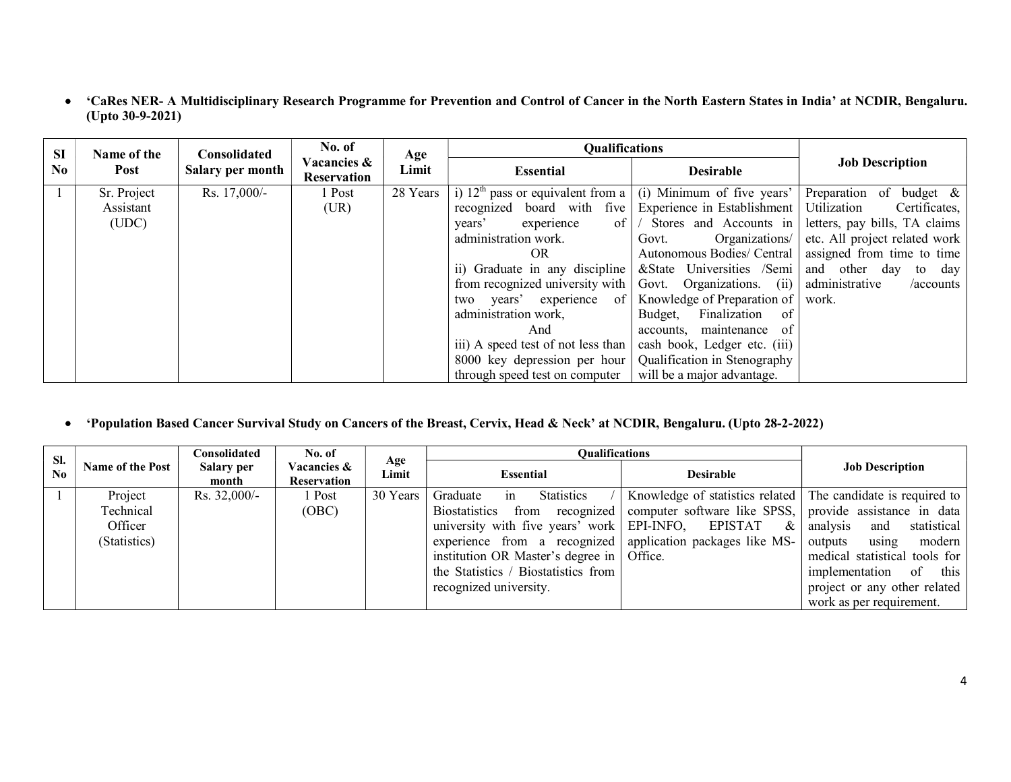'CaRes NER- A Multidisciplinary Research Programme for Prevention and Control of Cancer in the North Eastern States in India' at NCDIR, Bengaluru. (Upto 30-9-2021)

| <b>SI</b>      | Name of the | Consolidated     | No. of                     | Age      | <b>Qualifications</b>                                             |                              |                               |
|----------------|-------------|------------------|----------------------------|----------|-------------------------------------------------------------------|------------------------------|-------------------------------|
| N <sub>0</sub> | Post        | Salary per month | Vacancies &<br>Reservation | Limit    | <b>Essential</b>                                                  | <b>Desirable</b>             | <b>Job Description</b>        |
|                | Sr. Project | Rs. 17,000/-     | 1 Post                     | 28 Years | i) $12th$ pass or equivalent from a                               | $(i)$ Minimum of five years' | Preparation of<br>budget $\&$ |
|                | Assistant   |                  | (UR)                       |          | recognized board with five                                        | Experience in Establishment  | Utilization<br>Certificates,  |
|                | (UDC)       |                  |                            |          | $of \mid \prime$<br>years'<br>experience                          | Stores and Accounts in       | letters, pay bills, TA claims |
|                |             |                  |                            |          | administration work.                                              | Organizations/<br>Govt.      | etc. All project related work |
|                |             |                  |                            |          | OR.                                                               | Autonomous Bodies/ Central   | assigned from time to time    |
|                |             |                  |                            |          | ii) Graduate in any discipline & State Universities /Semi         |                              | and other day to day          |
|                |             |                  |                            |          | from recognized university with $\vert$ Govt. Organizations. (ii) |                              | administrative<br>/accounts   |
|                |             |                  |                            |          | two years' experience of                                          | Knowledge of Preparation of  | work.                         |
|                |             |                  |                            |          | administration work,                                              | Finalization of<br>Budget,   |                               |
|                |             |                  |                            |          | And                                                               | accounts, maintenance of     |                               |
|                |             |                  |                            |          | iii) A speed test of not less than                                | cash book, Ledger etc. (iii) |                               |
|                |             |                  |                            |          | 8000 key depression per hour   Qualification in Stenography       |                              |                               |
|                |             |                  |                            |          | through speed test on computer                                    | will be a major advantage.   |                               |

# 'Population Based Cancer Survival Study on Cancers of the Breast, Cervix, Head & Neck' at NCDIR, Bengaluru. (Upto 28-2-2022)

| SI. |                         | Consolidated        | No. of                     | Age      | <b>Oualifications</b>                                      |                                                              |                                |
|-----|-------------------------|---------------------|----------------------------|----------|------------------------------------------------------------|--------------------------------------------------------------|--------------------------------|
| No  | <b>Name of the Post</b> | Salary per<br>month | Vacancies &<br>Reservation | Limit    | Essential                                                  | <b>Desirable</b>                                             | <b>Job Description</b>         |
|     | Project                 | Rs. $32,000/-$      | 1 Post                     | 30 Years | <b>Statistics</b><br>Graduate<br>1n                        | Knowledge of statistics related The candidate is required to |                                |
|     | Technical               |                     | (OBC)                      |          | <b>Biostatistics</b><br>from recognized                    | computer software like SPSS,                                 | provide assistance in data     |
|     | Officer                 |                     |                            |          | university with five years' work   EPI-INFO,               | <b>EPISTAT</b><br>$\&$                                       | analysis<br>statistical<br>and |
|     | (Statistics)            |                     |                            |          | experience from a recognized application packages like MS- |                                                              | modern<br>outputs<br>using     |
|     |                         |                     |                            |          | institution OR Master's degree in   Office.                |                                                              | medical statistical tools for  |
|     |                         |                     |                            |          | the Statistics / Biostatistics from                        |                                                              | of<br>this<br>implementation   |
|     |                         |                     |                            |          | recognized university.                                     |                                                              | project or any other related   |
|     |                         |                     |                            |          |                                                            |                                                              | work as per requirement.       |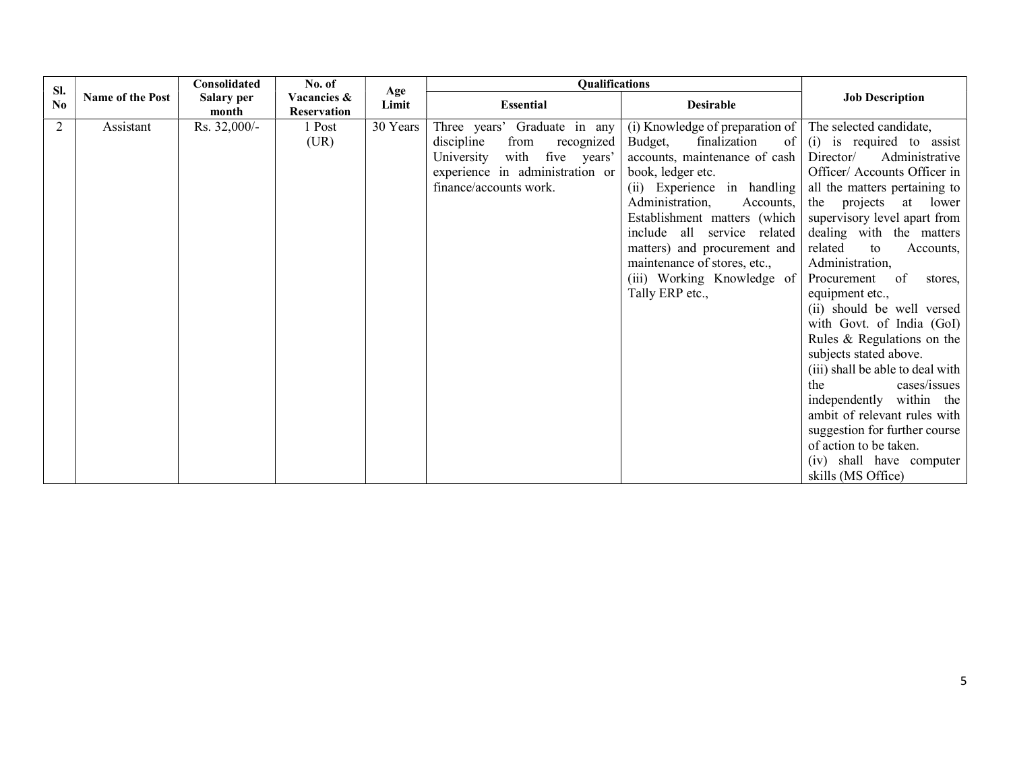| Sl.            |                         | Consolidated        | No. of                            | Age      | Qualifications                                                                                                                                                  |                                                                                                                                                                                                                                                                                                                                                                                               |                                                                                                                                                                                                                                                                                                                                                                                                                                                                                                                                                                                            |
|----------------|-------------------------|---------------------|-----------------------------------|----------|-----------------------------------------------------------------------------------------------------------------------------------------------------------------|-----------------------------------------------------------------------------------------------------------------------------------------------------------------------------------------------------------------------------------------------------------------------------------------------------------------------------------------------------------------------------------------------|--------------------------------------------------------------------------------------------------------------------------------------------------------------------------------------------------------------------------------------------------------------------------------------------------------------------------------------------------------------------------------------------------------------------------------------------------------------------------------------------------------------------------------------------------------------------------------------------|
| No             | <b>Name of the Post</b> | Salary per<br>month | Vacancies &<br><b>Reservation</b> | Limit    | <b>Essential</b>                                                                                                                                                | <b>Desirable</b>                                                                                                                                                                                                                                                                                                                                                                              | <b>Job Description</b>                                                                                                                                                                                                                                                                                                                                                                                                                                                                                                                                                                     |
| $\overline{2}$ | Assistant               | Rs. 32,000/-        | 1 Post<br>(UR)                    | 30 Years | Three years' Graduate in any<br>discipline<br>from<br>recognized<br>with five years'<br>University<br>experience in administration or<br>finance/accounts work. | (i) Knowledge of preparation of The selected candidate,<br>finalization<br>Budget,<br>of<br>accounts, maintenance of cash<br>book, ledger etc.<br>(ii) Experience in handling<br>Administration,<br>Accounts,<br>Establishment matters (which<br>include all service related<br>matters) and procurement and<br>maintenance of stores, etc.,<br>(iii) Working Knowledge of<br>Tally ERP etc., | (i) is required to assist<br>Director/<br>Administrative<br>Officer/ Accounts Officer in<br>all the matters pertaining to<br>the projects at lower<br>supervisory level apart from<br>dealing with the matters<br>related<br>to<br>Accounts,<br>Administration,<br>Procurement of<br>stores,<br>equipment etc.,<br>(ii) should be well versed<br>with Govt. of India (GoI)<br>Rules & Regulations on the<br>subjects stated above.<br>(iii) shall be able to deal with<br>cases/issues<br>the<br>independently within the<br>ambit of relevant rules with<br>suggestion for further course |
|                |                         |                     |                                   |          |                                                                                                                                                                 |                                                                                                                                                                                                                                                                                                                                                                                               | of action to be taken.<br>(iv) shall have computer<br>skills (MS Office)                                                                                                                                                                                                                                                                                                                                                                                                                                                                                                                   |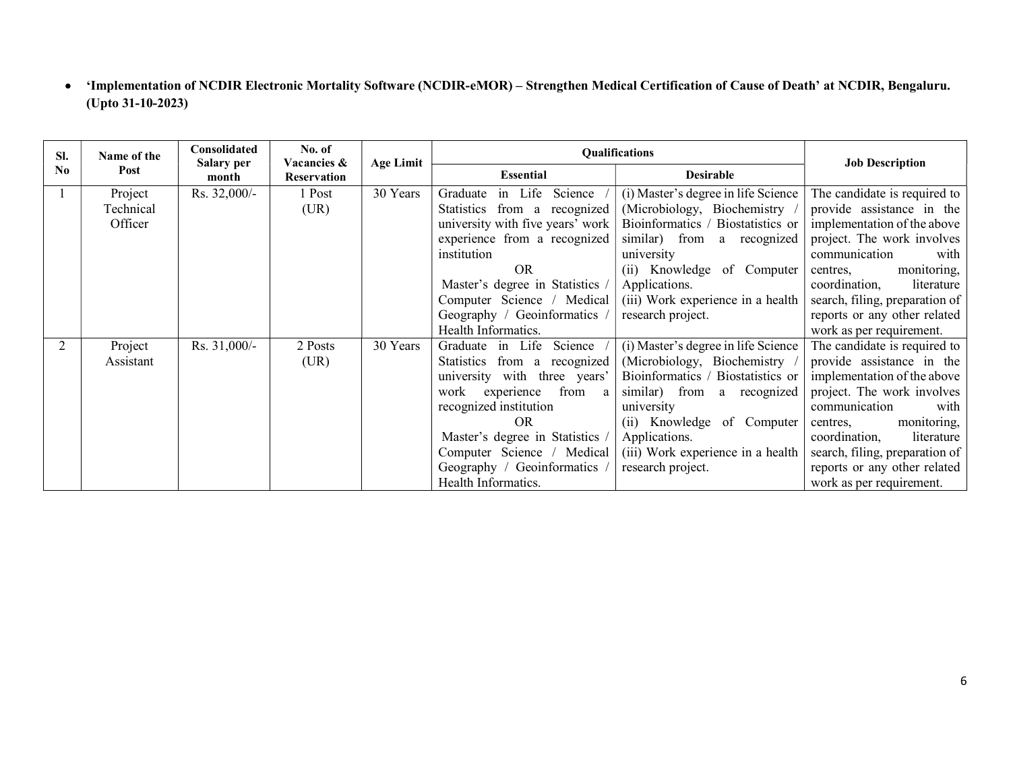'Implementation of NCDIR Electronic Mortality Software (NCDIR-eMOR) – Strengthen Medical Certification of Cause of Death' at NCDIR, Bengaluru. (Upto 31-10-2023)

| SI. | Name of the | Consolidated               | No. of<br>Vacancies & | <b>Age Limit</b> |                                  | <b>Oualifications</b>               | <b>Job Description</b>         |
|-----|-------------|----------------------------|-----------------------|------------------|----------------------------------|-------------------------------------|--------------------------------|
| No  | Post        | <b>Salary per</b><br>month | <b>Reservation</b>    |                  | <b>Essential</b>                 | <b>Desirable</b>                    |                                |
|     | Project     | Rs. 32,000/-               | 1 Post                | 30 Years         | in Life Science<br>Graduate      | (i) Master's degree in life Science | The candidate is required to   |
|     | Technical   |                            | (UR)                  |                  | Statistics from a recognized     | (Microbiology, Biochemistry         | provide assistance in the      |
|     | Officer     |                            |                       |                  | university with five years' work | Bioinformatics / Biostatistics or   | implementation of the above    |
|     |             |                            |                       |                  | experience from a recognized     | similar) from a recognized          | project. The work involves     |
|     |             |                            |                       |                  | institution                      | university                          | communication<br>with          |
|     |             |                            |                       |                  | OR.                              | (ii) Knowledge of Computer          | monitoring,<br>centres,        |
|     |             |                            |                       |                  | Master's degree in Statistics    | Applications.                       | coordination,<br>literature    |
|     |             |                            |                       |                  | Computer Science / Medical       | (iii) Work experience in a health   | search, filing, preparation of |
|     |             |                            |                       |                  | Geography / Geoinformatics       | research project.                   | reports or any other related   |
|     |             |                            |                       |                  | Health Informatics.              |                                     | work as per requirement.       |
|     | Project     | Rs. 31,000/-               | 2 Posts               | 30 Years         | Graduate in Life<br>Science      | (i) Master's degree in life Science | The candidate is required to   |
|     | Assistant   |                            | (UR)                  |                  | Statistics from a recognized     | (Microbiology, Biochemistry)        | provide assistance in the      |
|     |             |                            |                       |                  | university with three years'     | Bioinformatics / Biostatistics or   | implementation of the above    |
|     |             |                            |                       |                  | work experience<br>from<br>a     | similar) from a recognized          | project. The work involves     |
|     |             |                            |                       |                  | recognized institution           | university                          | communication<br>with          |
|     |             |                            |                       |                  | OR.                              | (ii) Knowledge of Computer          | monitoring,<br>centres,        |
|     |             |                            |                       |                  | Master's degree in Statistics /  | Applications.                       | coordination,<br>literature    |
|     |             |                            |                       |                  | Computer Science / Medical       | (iii) Work experience in a health   | search, filing, preparation of |
|     |             |                            |                       |                  | Geography / Geoinformatics       | research project.                   | reports or any other related   |
|     |             |                            |                       |                  | Health Informatics.              |                                     | work as per requirement.       |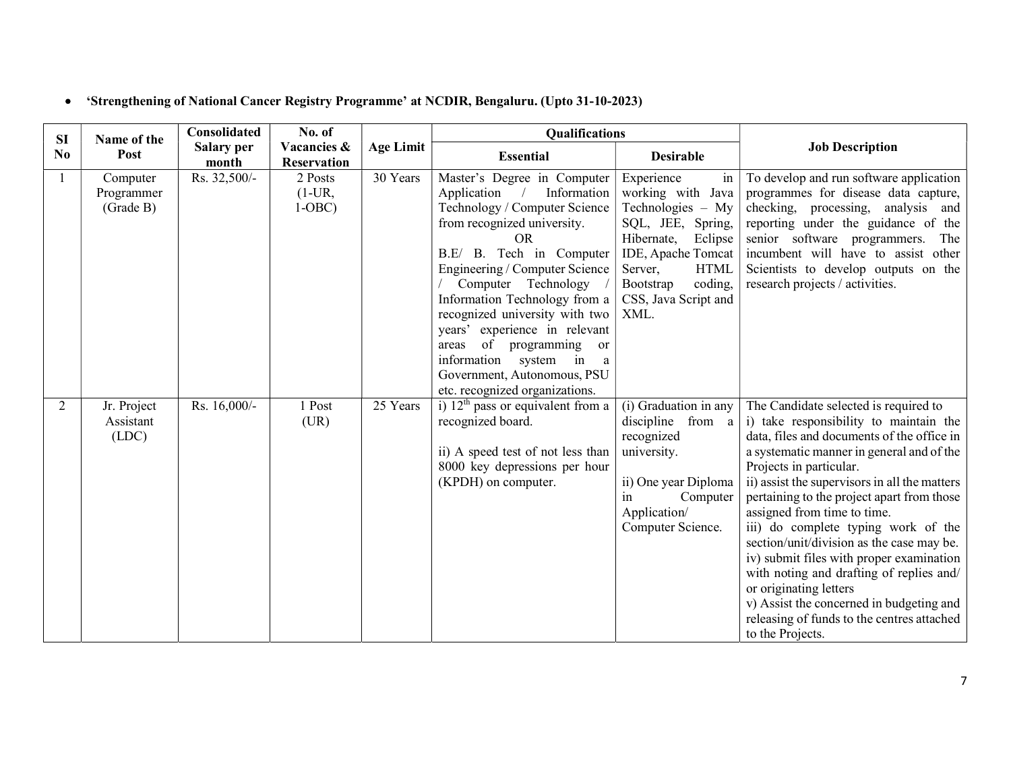# 'Strengthening of National Cancer Registry Programme' at NCDIR, Bengaluru. (Upto 31-10-2023)

| <b>SI</b>      | Name of the                         | <b>Consolidated</b>        | No. of                            |                  | Qualifications                                                                                                                                                                                                                                                                                                                                                                                                                                                                |                                                                                                                                                                                                                  |                                                                                                                                                                                                                                                                                                                                                                                                                                                                                                                                                                                                                                                         |
|----------------|-------------------------------------|----------------------------|-----------------------------------|------------------|-------------------------------------------------------------------------------------------------------------------------------------------------------------------------------------------------------------------------------------------------------------------------------------------------------------------------------------------------------------------------------------------------------------------------------------------------------------------------------|------------------------------------------------------------------------------------------------------------------------------------------------------------------------------------------------------------------|---------------------------------------------------------------------------------------------------------------------------------------------------------------------------------------------------------------------------------------------------------------------------------------------------------------------------------------------------------------------------------------------------------------------------------------------------------------------------------------------------------------------------------------------------------------------------------------------------------------------------------------------------------|
| N <sub>0</sub> | Post                                | <b>Salary per</b><br>month | Vacancies &<br><b>Reservation</b> | <b>Age Limit</b> | <b>Essential</b>                                                                                                                                                                                                                                                                                                                                                                                                                                                              | <b>Desirable</b>                                                                                                                                                                                                 | <b>Job Description</b>                                                                                                                                                                                                                                                                                                                                                                                                                                                                                                                                                                                                                                  |
|                | Computer<br>Programmer<br>(Grade B) | Rs. 32,500/-               | 2 Posts<br>$(1-UR,$<br>$1-OBC$    | 30 Years         | Master's Degree in Computer<br>Information<br>Application<br>Technology / Computer Science<br>from recognized university.<br><b>OR</b><br>B.E/ B. Tech in Computer<br>Engineering / Computer Science<br>Computer Technology<br>Information Technology from a<br>recognized university with two<br>years' experience in relevant<br>of programming<br>areas<br><sub>or</sub><br>information<br>system in<br>a<br>Government, Autonomous, PSU<br>etc. recognized organizations. | Experience<br>in<br>working with Java<br>Technologies - My<br>SQL, JEE, Spring,<br>Hibernate,<br>Eclipse<br>IDE, Apache Tomcat<br>Server,<br><b>HTML</b><br>coding,<br>Bootstrap<br>CSS, Java Script and<br>XML. | To develop and run software application<br>programmes for disease data capture,<br>checking, processing, analysis and<br>reporting under the guidance of the<br>senior software programmers. The<br>incumbent will have to assist other<br>Scientists to develop outputs on the<br>research projects / activities.                                                                                                                                                                                                                                                                                                                                      |
| $\overline{2}$ | Jr. Project<br>Assistant<br>(LDC)   | Rs. 16,000/-               | 1 Post<br>(UR)                    | 25 Years         | i) $12th$ pass or equivalent from a<br>recognized board.<br>ii) A speed test of not less than<br>8000 key depressions per hour<br>(KPDH) on computer.                                                                                                                                                                                                                                                                                                                         | $\overline{(i)}$ Graduation in any<br>discipline from a<br>recognized<br>university.<br>ii) One year Diploma<br>Computer<br>in.<br>Application/<br>Computer Science.                                             | The Candidate selected is required to<br>i) take responsibility to maintain the<br>data, files and documents of the office in<br>a systematic manner in general and of the<br>Projects in particular.<br>ii) assist the supervisors in all the matters<br>pertaining to the project apart from those<br>assigned from time to time.<br>iii) do complete typing work of the<br>section/unit/division as the case may be.<br>iv) submit files with proper examination<br>with noting and drafting of replies and/<br>or originating letters<br>v) Assist the concerned in budgeting and<br>releasing of funds to the centres attached<br>to the Projects. |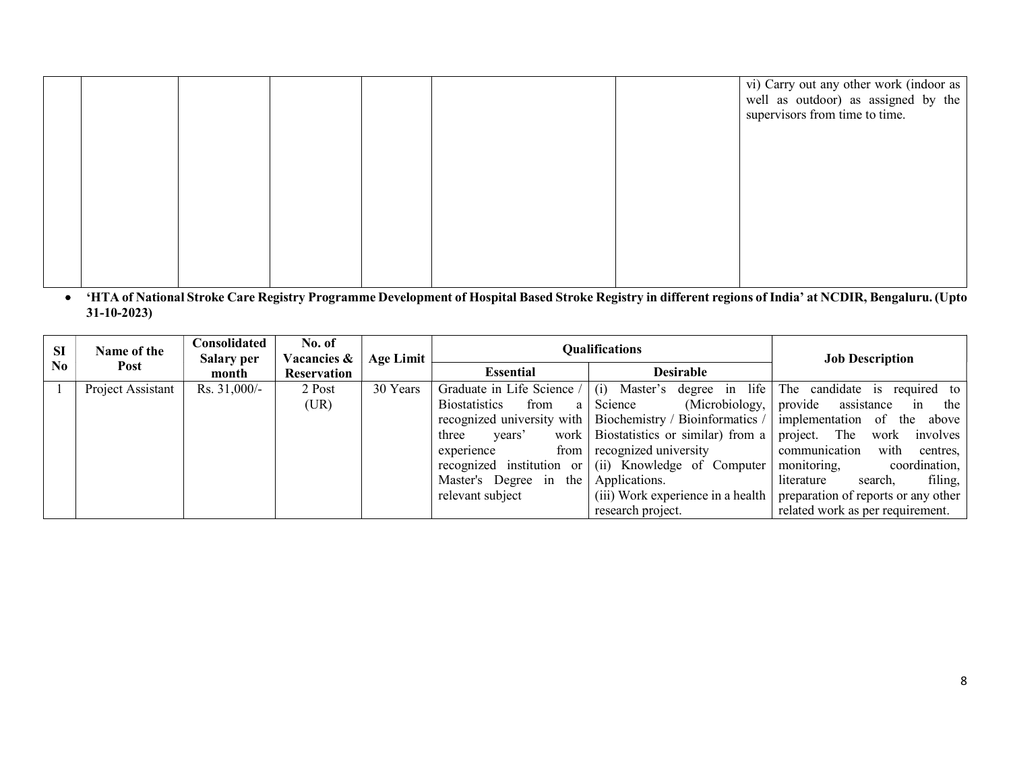|  |  |  | vi) Carry out any other work (indoor as<br>well as outdoor) as assigned by the<br>supervisors from time to time. |
|--|--|--|------------------------------------------------------------------------------------------------------------------|
|  |  |  |                                                                                                                  |
|  |  |  |                                                                                                                  |
|  |  |  |                                                                                                                  |

 'HTA of National Stroke Care Registry Programme Development of Hospital Based Stroke Registry in different regions of India' at NCDIR, Bengaluru.(Upto 31-10-2023)

| <b>SI</b>      | Name of the       | Consolidated<br><b>Salary per</b> | No. of<br><b>Vacancies &amp;</b> | <b>Age Limit</b> |                                     | <b>Qualifications</b>                                                            | <b>Job Description</b>              |
|----------------|-------------------|-----------------------------------|----------------------------------|------------------|-------------------------------------|----------------------------------------------------------------------------------|-------------------------------------|
| N <sub>0</sub> | Post              | month                             | Reservation                      |                  | <b>Essential</b>                    | <b>Desirable</b>                                                                 |                                     |
|                | Project Assistant | Rs. $31,000/-$                    | 2 Post                           | 30 Years         | Graduate in Life Science /          | Master's degree in life<br>$\left(1\right)$ )                                    | The candidate is<br>required to     |
|                |                   |                                   | (UR)                             |                  | <b>Biostatistics</b><br>from<br>a l | (Microbiology,  <br>Science                                                      | provide<br>assistance<br>the<br>in  |
|                |                   |                                   |                                  |                  |                                     | recognized university with   Biochemistry / Bioinformatics /   implementation of | above<br>the                        |
|                |                   |                                   |                                  |                  | three<br>years'                     | work   Biostatistics or similar) from a   project. The                           | work<br>involves                    |
|                |                   |                                   |                                  |                  | from<br>experience                  | recognized university                                                            | communication<br>with<br>centres,   |
|                |                   |                                   |                                  |                  |                                     | recognized institution or $(i)$ Knowledge of Computer monitoring,                | coordination,                       |
|                |                   |                                   |                                  |                  | Master's Degree in the              | Applications.                                                                    | filing,<br>literature<br>search,    |
|                |                   |                                   |                                  |                  | relevant subject                    | $(iii)$ Work experience in a health                                              | preparation of reports or any other |
|                |                   |                                   |                                  |                  |                                     | research project.                                                                | related work as per requirement.    |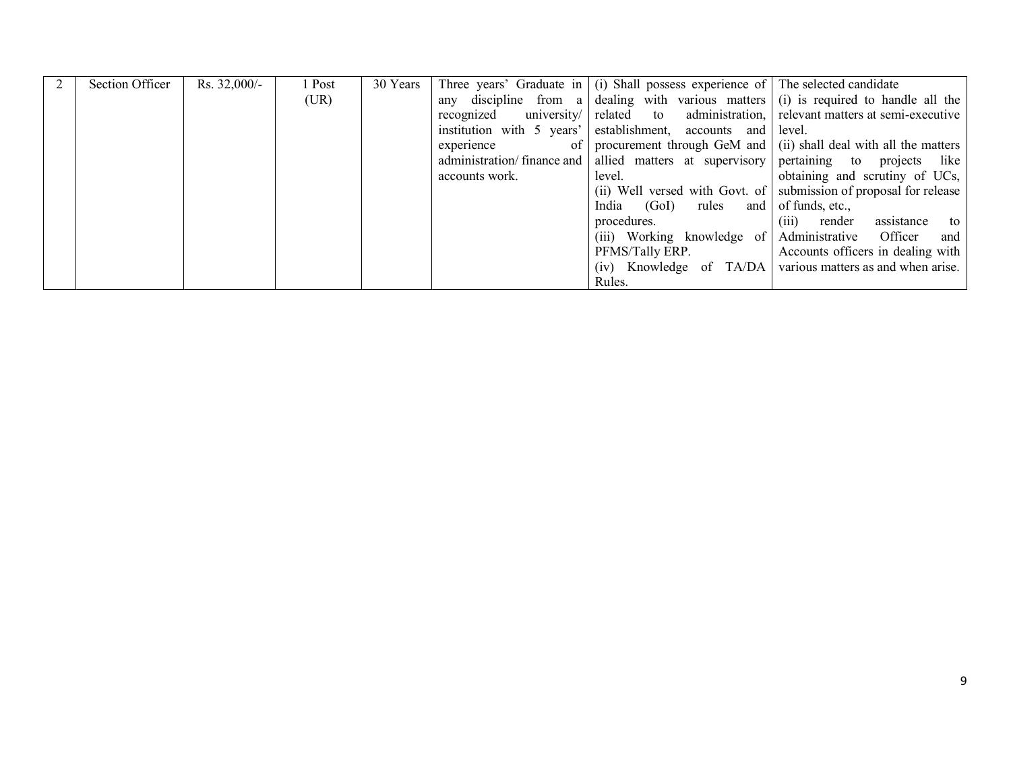| Section Officer | $Rs. 32,000/$ - | 1 Post | 30 Years |                            | Three years' Graduate in $ (i)$ Shall possess experience of $ $ The selected candidate |                                                                                      |
|-----------------|-----------------|--------|----------|----------------------------|----------------------------------------------------------------------------------------|--------------------------------------------------------------------------------------|
|                 |                 | (UR)   |          |                            |                                                                                        | any discipline from a dealing with various matters (i) is required to handle all the |
|                 |                 |        |          |                            |                                                                                        | recognized university related to administration, relevant matters at semi-executive  |
|                 |                 |        |          |                            | institution with 5 years' establishment, accounts and level.                           |                                                                                      |
|                 |                 |        |          | experience<br>of 1         |                                                                                        | procurement through GeM and (ii) shall deal with all the matters                     |
|                 |                 |        |          | administration/finance and |                                                                                        | allied matters at supervisory pertaining to projects like                            |
|                 |                 |        |          | accounts work.             | level.                                                                                 | obtaining and scrutiny of UCs,                                                       |
|                 |                 |        |          |                            |                                                                                        | (ii) Well versed with Govt. of submission of proposal for release                    |
|                 |                 |        |          |                            | India (GoI) rules and of funds, etc.,                                                  |                                                                                      |
|                 |                 |        |          |                            | procedures.                                                                            | (iii) render<br>assistance<br>to                                                     |
|                 |                 |        |          |                            |                                                                                        | (iii) Working knowledge of Administrative Officer and                                |
|                 |                 |        |          |                            |                                                                                        | PFMS/Tally ERP.   Accounts officers in dealing with                                  |
|                 |                 |        |          |                            |                                                                                        | (iv) Knowledge of TA/DA various matters as and when arise.                           |
|                 |                 |        |          |                            | Rules.                                                                                 |                                                                                      |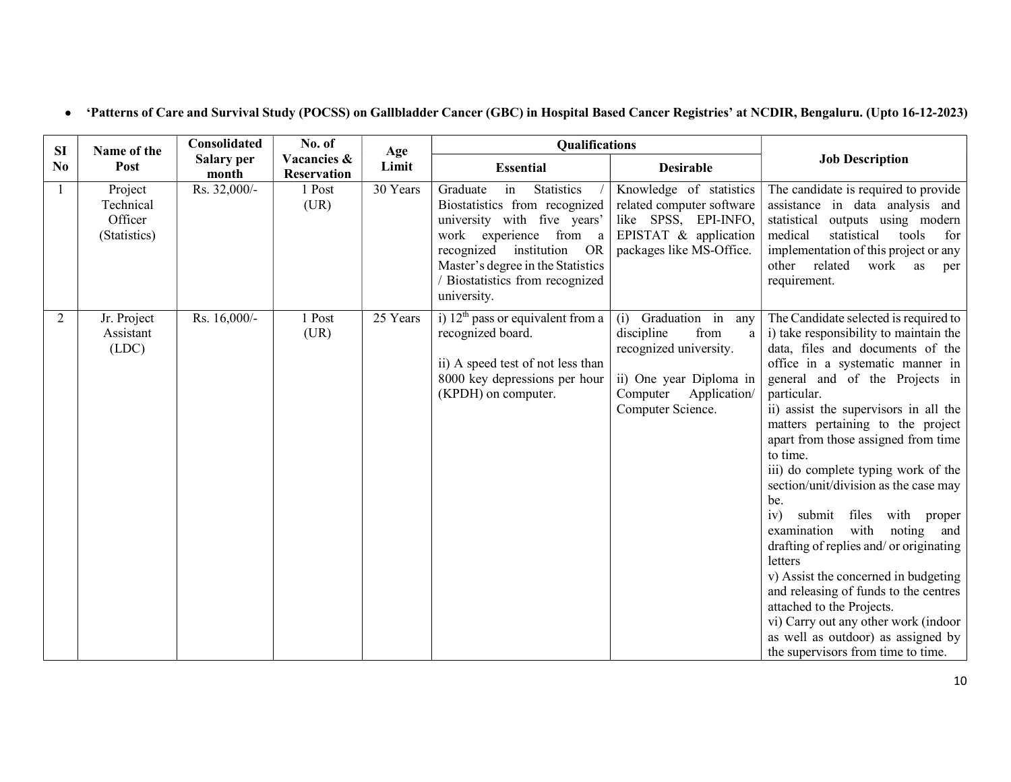| SI             | Name of the                                     | Consolidated               | No. of                            | Age      | <b>Qualifications</b>                                                                                                                                                                                                                                   |                                                                                                                                                              |                                                                                                                                                                                                                                                                                                                                                                                                                                                                                                                                                                                                                                                                                                                                                                                                     |
|----------------|-------------------------------------------------|----------------------------|-----------------------------------|----------|---------------------------------------------------------------------------------------------------------------------------------------------------------------------------------------------------------------------------------------------------------|--------------------------------------------------------------------------------------------------------------------------------------------------------------|-----------------------------------------------------------------------------------------------------------------------------------------------------------------------------------------------------------------------------------------------------------------------------------------------------------------------------------------------------------------------------------------------------------------------------------------------------------------------------------------------------------------------------------------------------------------------------------------------------------------------------------------------------------------------------------------------------------------------------------------------------------------------------------------------------|
| N <sub>0</sub> | Post                                            | <b>Salary per</b><br>month | Vacancies &<br><b>Reservation</b> | Limit    | <b>Essential</b>                                                                                                                                                                                                                                        | <b>Desirable</b>                                                                                                                                             | <b>Job Description</b>                                                                                                                                                                                                                                                                                                                                                                                                                                                                                                                                                                                                                                                                                                                                                                              |
|                | Project<br>Technical<br>Officer<br>(Statistics) | Rs. 32,000/-               | 1 Post<br>(UR)                    | 30 Years | Graduate<br>in<br><b>Statistics</b><br>Biostatistics from recognized<br>university with five years'<br>work experience from a<br>recognized<br>institution<br>OR<br>Master's degree in the Statistics<br>/ Biostatistics from recognized<br>university. | Knowledge of statistics<br>related computer software<br>like SPSS, EPI-INFO,<br>EPISTAT & application<br>packages like MS-Office.                            | The candidate is required to provide<br>assistance in data analysis and<br>outputs using modern<br>statistical<br>medical<br>statistical<br>tools<br>for<br>implementation of this project or any<br>other related<br>work<br>as<br>per<br>requirement.                                                                                                                                                                                                                                                                                                                                                                                                                                                                                                                                             |
| 2              | Jr. Project<br>Assistant<br>(LDC)               | Rs. 16,000/-               | 1 Post<br>(UR)                    | 25 Years | i) $12th$ pass or equivalent from a<br>recognized board.<br>ii) A speed test of not less than<br>8000 key depressions per hour<br>(KPDH) on computer.                                                                                                   | (i)<br>Graduation in<br>any<br>from<br>discipline<br>a<br>recognized university.<br>ii) One year Diploma in<br>Computer<br>Application/<br>Computer Science. | The Candidate selected is required to<br>i) take responsibility to maintain the<br>data, files and documents of the<br>office in a systematic manner in<br>general and of the Projects in<br>particular.<br>ii) assist the supervisors in all the<br>matters pertaining to the project<br>apart from those assigned from time<br>to time.<br>iii) do complete typing work of the<br>section/unit/division as the case may<br>be.<br>iv)<br>submit files<br>with proper<br>with<br>examination<br>noting and<br>drafting of replies and/ or originating<br>letters<br>v) Assist the concerned in budgeting<br>and releasing of funds to the centres<br>attached to the Projects.<br>vi) Carry out any other work (indoor<br>as well as outdoor) as assigned by<br>the supervisors from time to time. |

# 'Patterns of Care and Survival Study (POCSS) on Gallbladder Cancer (GBC) in Hospital Based Cancer Registries' at NCDIR, Bengaluru. (Upto 16-12-2023)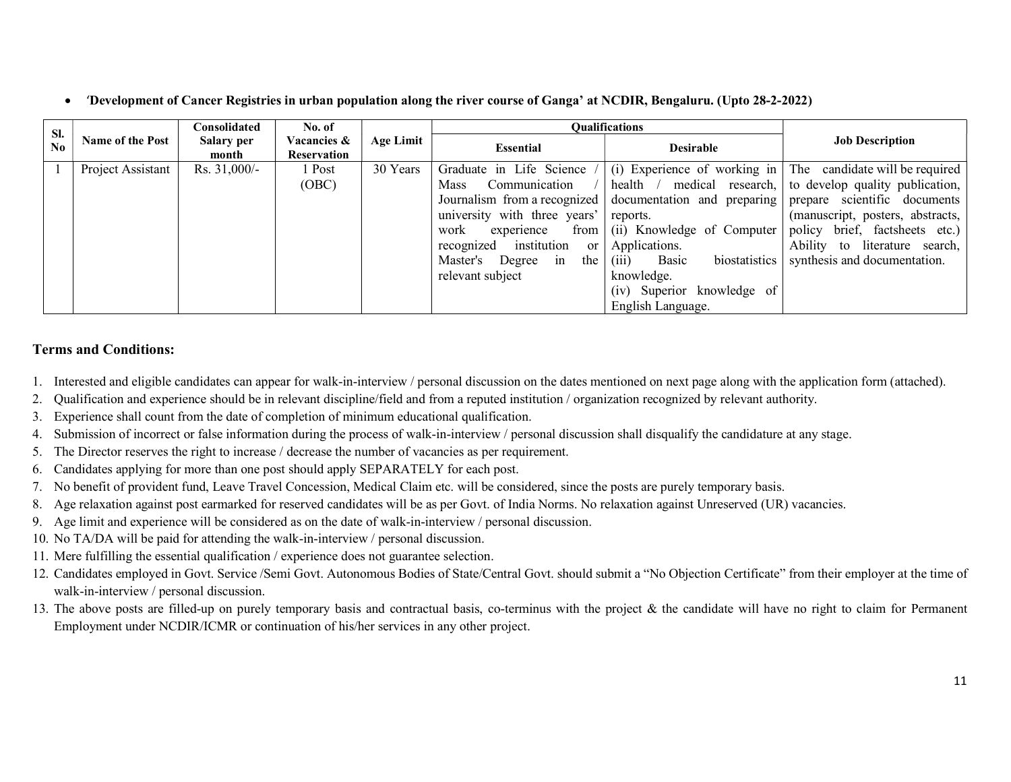'Development of Cancer Registries in urban population along the river course of Ganga' at NCDIR, Bengaluru. (Upto 28-2-2022)

| SI. | <b>Name of the Post</b> | C <b>onsolidated</b> | No. of                     | Age Limit | <b>Oualifications</b>        |                                 |                                                                                          |
|-----|-------------------------|----------------------|----------------------------|-----------|------------------------------|---------------------------------|------------------------------------------------------------------------------------------|
| No  |                         | Salary per<br>month  | Vacancies &<br>Reservation |           | <b>Essential</b>             | <b>Desirable</b>                | <b>Job Description</b>                                                                   |
|     | Project Assistant       | Rs. $31,000/-$       | 1 Post                     | 30 Years  |                              |                                 | Graduate in Life Science $/$ (i) Experience of working in The candidate will be required |
|     |                         |                      | (OBC)                      |           | Mass                         |                                 | Communication $/$ health $/$ medical research, to develop quality publication,           |
|     |                         |                      |                            |           |                              |                                 | Journalism from a recognized documentation and preparing prepare scientific documents    |
|     |                         |                      |                            |           | university with three years' | reports.                        | (manuscript, posters, abstracts,                                                         |
|     |                         |                      |                            |           | work<br>experience           |                                 | from (ii) Knowledge of Computer policy brief, factsheets etc.)                           |
|     |                         |                      |                            |           | recognized institution<br>or | Applications.                   | Ability to literature search,                                                            |
|     |                         |                      |                            |           | Master's Degree in<br>the 1  | biostatistics<br>Basic<br>(iii) | synthesis and documentation.                                                             |
|     |                         |                      |                            |           | relevant subject             | knowledge.                      |                                                                                          |
|     |                         |                      |                            |           |                              | (iv) Superior knowledge of      |                                                                                          |
|     |                         |                      |                            |           |                              | English Language.               |                                                                                          |

### Terms and Conditions:

- 1. Interested and eligible candidates can appear for walk-in-interview / personal discussion on the dates mentioned on next page along with the application form (attached).
- 2. Qualification and experience should be in relevant discipline/field and from a reputed institution / organization recognized by relevant authority.
- 3. Experience shall count from the date of completion of minimum educational qualification.
- 4. Submission of incorrect or false information during the process of walk-in-interview / personal discussion shall disqualify the candidature at any stage.
- 5. The Director reserves the right to increase / decrease the number of vacancies as per requirement.
- 6. Candidates applying for more than one post should apply SEPARATELY for each post.
- 7. No benefit of provident fund, Leave Travel Concession, Medical Claim etc. will be considered, since the posts are purely temporary basis.
- 8. Age relaxation against post earmarked for reserved candidates will be as per Govt. of India Norms. No relaxation against Unreserved (UR) vacancies.
- 9. Age limit and experience will be considered as on the date of walk-in-interview / personal discussion.
- 10. No TA/DA will be paid for attending the walk-in-interview / personal discussion.
- 11. Mere fulfilling the essential qualification / experience does not guarantee selection.
- 12. Candidates employed in Govt. Service /Semi Govt. Autonomous Bodies of State/Central Govt. should submit a "No Objection Certificate" from their employer at the time of walk-in-interview / personal discussion.
- 13. The above posts are filled-up on purely temporary basis and contractual basis, co-terminus with the project & the candidate will have no right to claim for Permanent Employment under NCDIR/ICMR or continuation of his/her services in any other project.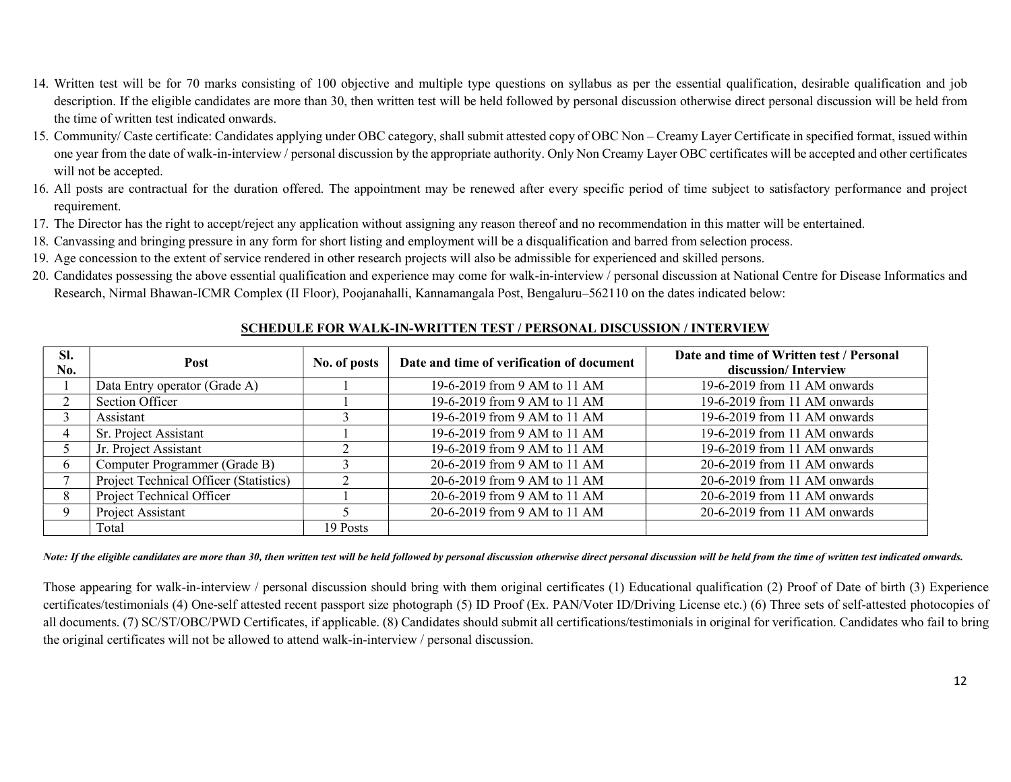- 14. Written test will be for 70 marks consisting of 100 objective and multiple type questions on syllabus as per the essential qualification, desirable qualification and job description. If the eligible candidates are more than 30, then written test will be held followed by personal discussion otherwise direct personal discussion will be held from the time of written test indicated onwards.
- 15. Community/ Caste certificate: Candidates applying under OBC category, shall submit attested copy of OBC Non Creamy Layer Certificate in specified format, issued within one year from the date of walk-in-interview / personal discussion by the appropriate authority. Only Non Creamy Layer OBC certificates will be accepted and other certificates will not be accepted.
- 16. All posts are contractual for the duration offered. The appointment may be renewed after every specific period of time subject to satisfactory performance and project requirement.
- 17. The Director has the right to accept/reject any application without assigning any reason thereof and no recommendation in this matter will be entertained.
- 18. Canvassing and bringing pressure in any form for short listing and employment will be a disqualification and barred from selection process.
- 19. Age concession to the extent of service rendered in other research projects will also be admissible for experienced and skilled persons.
- 20. Candidates possessing the above essential qualification and experience may come for walk-in-interview / personal discussion at National Centre for Disease Informatics and Research, Nirmal Bhawan-ICMR Complex (II Floor), Poojanahalli, Kannamangala Post, Bengaluru–562110 on the dates indicated below:

| SI.<br>No. | <b>Post</b>                            | No. of posts | Date and time of verification of document | Date and time of Written test / Personal<br>discussion/Interview |
|------------|----------------------------------------|--------------|-------------------------------------------|------------------------------------------------------------------|
|            | Data Entry operator (Grade A)          |              | 19-6-2019 from 9 AM to 11 AM              | 19-6-2019 from 11 AM onwards                                     |
|            | Section Officer                        |              | 19-6-2019 from 9 AM to 11 AM              | 19-6-2019 from 11 AM onwards                                     |
|            | Assistant                              |              | 19-6-2019 from 9 AM to 11 AM              | 19-6-2019 from 11 AM onwards                                     |
|            | Sr. Project Assistant                  |              | 19-6-2019 from 9 AM to 11 AM              | 19-6-2019 from 11 AM onwards                                     |
|            | Jr. Project Assistant                  |              | 19-6-2019 from 9 AM to 11 AM              | 19-6-2019 from 11 AM onwards                                     |
|            | Computer Programmer (Grade B)          |              | 20-6-2019 from 9 AM to 11 AM              | 20-6-2019 from 11 AM onwards                                     |
|            | Project Technical Officer (Statistics) |              | 20-6-2019 from 9 AM to 11 AM              | 20-6-2019 from 11 AM onwards                                     |
|            | Project Technical Officer              |              | 20-6-2019 from 9 AM to 11 AM              | 20-6-2019 from 11 AM onwards                                     |
|            | Project Assistant                      |              | 20-6-2019 from 9 AM to 11 AM              | 20-6-2019 from 11 AM onwards                                     |
|            | Total                                  | 19 Posts     |                                           |                                                                  |

### SCHEDULE FOR WALK-IN-WRITTEN TEST / PERSONAL DISCUSSION / INTERVIEW

Note: If the eligible candidates are more than 30, then written test will be held followed by personal discussion otherwise direct personal discussion will be held from the time of written test indicated onwards.

Those appearing for walk-in-interview / personal discussion should bring with them original certificates (1) Educational qualification (2) Proof of Date of birth (3) Experience certificates/testimonials (4) One-self attested recent passport size photograph (5) ID Proof (Ex. PAN/Voter ID/Driving License etc.) (6) Three sets of self-attested photocopies of all documents. (7) SC/ST/OBC/PWD Certificates, if applicable. (8) Candidates should submit all certifications/testimonials in original for verification. Candidates who fail to bring the original certificates will not be allowed to attend walk-in-interview / personal discussion.